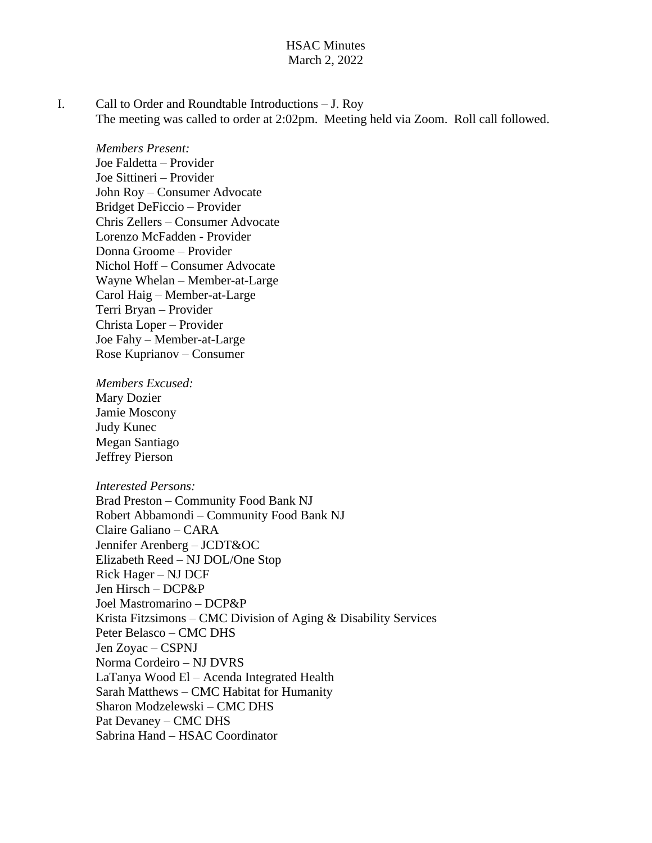### HSAC Minutes March 2, 2022

I. Call to Order and Roundtable Introductions – J. Roy The meeting was called to order at 2:02pm. Meeting held via Zoom. Roll call followed.

*Members Present:* Joe Faldetta – Provider Joe Sittineri – Provider John Roy – Consumer Advocate Bridget DeFiccio – Provider Chris Zellers – Consumer Advocate Lorenzo McFadden - Provider Donna Groome – Provider Nichol Hoff – Consumer Advocate Wayne Whelan – Member-at-Large Carol Haig – Member-at-Large Terri Bryan – Provider Christa Loper – Provider Joe Fahy – Member-at-Large Rose Kuprianov – Consumer

*Members Excused:* Mary Dozier Jamie Moscony

Judy Kunec Megan Santiago Jeffrey Pierson

#### *Interested Persons:*

Brad Preston – Community Food Bank NJ Robert Abbamondi – Community Food Bank NJ Claire Galiano – CARA Jennifer Arenberg – JCDT&OC Elizabeth Reed – NJ DOL/One Stop Rick Hager – NJ DCF Jen Hirsch – DCP&P Joel Mastromarino – DCP&P Krista Fitzsimons – CMC Division of Aging & Disability Services Peter Belasco – CMC DHS Jen Zoyac – CSPNJ Norma Cordeiro – NJ DVRS LaTanya Wood El – Acenda Integrated Health Sarah Matthews – CMC Habitat for Humanity Sharon Modzelewski – CMC DHS Pat Devaney – CMC DHS Sabrina Hand – HSAC Coordinator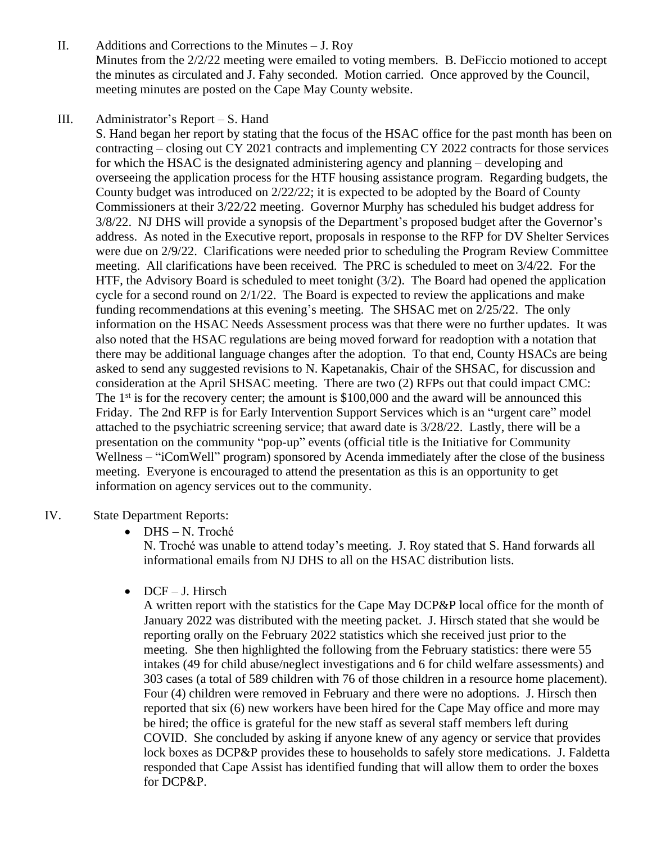- II. Additions and Corrections to the Minutes J. Roy Minutes from the 2/2/22 meeting were emailed to voting members. B. DeFiccio motioned to accept the minutes as circulated and J. Fahy seconded. Motion carried. Once approved by the Council, meeting minutes are posted on the Cape May County website.
- III. Administrator's Report S. Hand

S. Hand began her report by stating that the focus of the HSAC office for the past month has been on contracting – closing out CY 2021 contracts and implementing CY 2022 contracts for those services for which the HSAC is the designated administering agency and planning – developing and overseeing the application process for the HTF housing assistance program. Regarding budgets, the County budget was introduced on 2/22/22; it is expected to be adopted by the Board of County Commissioners at their 3/22/22 meeting. Governor Murphy has scheduled his budget address for 3/8/22. NJ DHS will provide a synopsis of the Department's proposed budget after the Governor's address. As noted in the Executive report, proposals in response to the RFP for DV Shelter Services were due on 2/9/22. Clarifications were needed prior to scheduling the Program Review Committee meeting. All clarifications have been received. The PRC is scheduled to meet on 3/4/22. For the HTF, the Advisory Board is scheduled to meet tonight (3/2). The Board had opened the application cycle for a second round on  $2/1/22$ . The Board is expected to review the applications and make funding recommendations at this evening's meeting. The SHSAC met on 2/25/22. The only information on the HSAC Needs Assessment process was that there were no further updates. It was also noted that the HSAC regulations are being moved forward for readoption with a notation that there may be additional language changes after the adoption. To that end, County HSACs are being asked to send any suggested revisions to N. Kapetanakis, Chair of the SHSAC, for discussion and consideration at the April SHSAC meeting. There are two (2) RFPs out that could impact CMC: The  $1<sup>st</sup>$  is for the recovery center; the amount is \$100,000 and the award will be announced this Friday. The 2nd RFP is for Early Intervention Support Services which is an "urgent care" model attached to the psychiatric screening service; that award date is 3/28/22. Lastly, there will be a presentation on the community "pop-up" events (official title is the Initiative for Community Wellness – "iComWell" program) sponsored by Acenda immediately after the close of the business meeting. Everyone is encouraged to attend the presentation as this is an opportunity to get information on agency services out to the community.

### IV. State Department Reports:

DHS – N. Troché

N. Troché was unable to attend today's meeting. J. Roy stated that S. Hand forwards all informational emails from NJ DHS to all on the HSAC distribution lists.

 $\bullet$  DCF – J. Hirsch

A written report with the statistics for the Cape May DCP&P local office for the month of January 2022 was distributed with the meeting packet. J. Hirsch stated that she would be reporting orally on the February 2022 statistics which she received just prior to the meeting. She then highlighted the following from the February statistics: there were 55 intakes (49 for child abuse/neglect investigations and 6 for child welfare assessments) and 303 cases (a total of 589 children with 76 of those children in a resource home placement). Four (4) children were removed in February and there were no adoptions. J. Hirsch then reported that six (6) new workers have been hired for the Cape May office and more may be hired; the office is grateful for the new staff as several staff members left during COVID. She concluded by asking if anyone knew of any agency or service that provides lock boxes as DCP&P provides these to households to safely store medications. J. Faldetta responded that Cape Assist has identified funding that will allow them to order the boxes for DCP&P.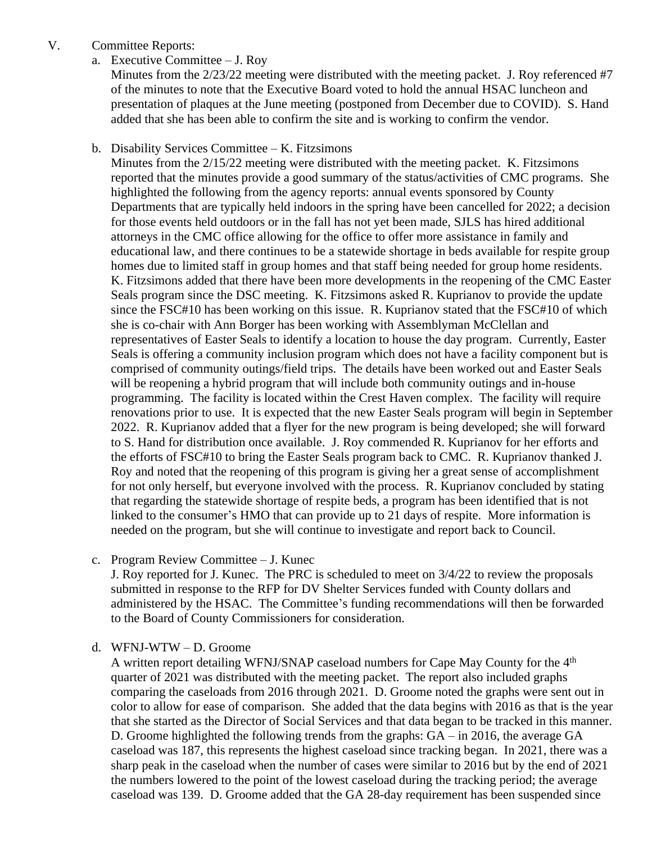### V. Committee Reports:

a. Executive Committee – J. Roy

Minutes from the 2/23/22 meeting were distributed with the meeting packet. J. Roy referenced #7 of the minutes to note that the Executive Board voted to hold the annual HSAC luncheon and presentation of plaques at the June meeting (postponed from December due to COVID). S. Hand added that she has been able to confirm the site and is working to confirm the vendor.

### b. Disability Services Committee – K. Fitzsimons

Minutes from the 2/15/22 meeting were distributed with the meeting packet. K. Fitzsimons reported that the minutes provide a good summary of the status/activities of CMC programs. She highlighted the following from the agency reports: annual events sponsored by County Departments that are typically held indoors in the spring have been cancelled for 2022; a decision for those events held outdoors or in the fall has not yet been made, SJLS has hired additional attorneys in the CMC office allowing for the office to offer more assistance in family and educational law, and there continues to be a statewide shortage in beds available for respite group homes due to limited staff in group homes and that staff being needed for group home residents. K. Fitzsimons added that there have been more developments in the reopening of the CMC Easter Seals program since the DSC meeting. K. Fitzsimons asked R. Kuprianov to provide the update since the FSC#10 has been working on this issue. R. Kuprianov stated that the FSC#10 of which she is co-chair with Ann Borger has been working with Assemblyman McClellan and representatives of Easter Seals to identify a location to house the day program. Currently, Easter Seals is offering a community inclusion program which does not have a facility component but is comprised of community outings/field trips. The details have been worked out and Easter Seals will be reopening a hybrid program that will include both community outings and in-house programming. The facility is located within the Crest Haven complex. The facility will require renovations prior to use. It is expected that the new Easter Seals program will begin in September 2022. R. Kuprianov added that a flyer for the new program is being developed; she will forward to S. Hand for distribution once available. J. Roy commended R. Kuprianov for her efforts and the efforts of FSC#10 to bring the Easter Seals program back to CMC. R. Kuprianov thanked J. Roy and noted that the reopening of this program is giving her a great sense of accomplishment for not only herself, but everyone involved with the process. R. Kuprianov concluded by stating that regarding the statewide shortage of respite beds, a program has been identified that is not linked to the consumer's HMO that can provide up to 21 days of respite. More information is needed on the program, but she will continue to investigate and report back to Council.

c. Program Review Committee – J. Kunec

J. Roy reported for J. Kunec. The PRC is scheduled to meet on 3/4/22 to review the proposals submitted in response to the RFP for DV Shelter Services funded with County dollars and administered by the HSAC. The Committee's funding recommendations will then be forwarded to the Board of County Commissioners for consideration.

#### d. WFNJ-WTW – D. Groome

A written report detailing WFNJ/SNAP caseload numbers for Cape May County for the 4th quarter of 2021 was distributed with the meeting packet. The report also included graphs comparing the caseloads from 2016 through 2021. D. Groome noted the graphs were sent out in color to allow for ease of comparison. She added that the data begins with 2016 as that is the year that she started as the Director of Social Services and that data began to be tracked in this manner. D. Groome highlighted the following trends from the graphs: GA – in 2016, the average GA caseload was 187, this represents the highest caseload since tracking began. In 2021, there was a sharp peak in the caseload when the number of cases were similar to 2016 but by the end of 2021 the numbers lowered to the point of the lowest caseload during the tracking period; the average caseload was 139. D. Groome added that the GA 28-day requirement has been suspended since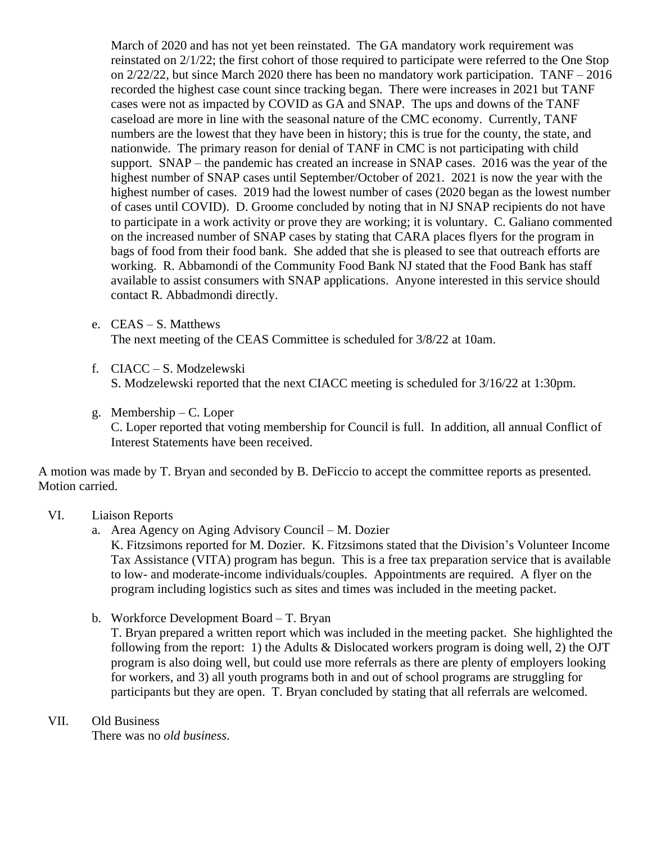March of 2020 and has not yet been reinstated. The GA mandatory work requirement was reinstated on 2/1/22; the first cohort of those required to participate were referred to the One Stop on 2/22/22, but since March 2020 there has been no mandatory work participation. TANF – 2016 recorded the highest case count since tracking began. There were increases in 2021 but TANF cases were not as impacted by COVID as GA and SNAP. The ups and downs of the TANF caseload are more in line with the seasonal nature of the CMC economy. Currently, TANF numbers are the lowest that they have been in history; this is true for the county, the state, and nationwide. The primary reason for denial of TANF in CMC is not participating with child support. SNAP – the pandemic has created an increase in SNAP cases. 2016 was the year of the highest number of SNAP cases until September/October of 2021. 2021 is now the year with the highest number of cases. 2019 had the lowest number of cases (2020 began as the lowest number of cases until COVID). D. Groome concluded by noting that in NJ SNAP recipients do not have to participate in a work activity or prove they are working; it is voluntary. C. Galiano commented on the increased number of SNAP cases by stating that CARA places flyers for the program in bags of food from their food bank. She added that she is pleased to see that outreach efforts are working. R. Abbamondi of the Community Food Bank NJ stated that the Food Bank has staff available to assist consumers with SNAP applications. Anyone interested in this service should contact R. Abbadmondi directly.

e. CEAS – S. Matthews

The next meeting of the CEAS Committee is scheduled for 3/8/22 at 10am.

f. CIACC – S. Modzelewski

S. Modzelewski reported that the next CIACC meeting is scheduled for 3/16/22 at 1:30pm.

g. Membership – C. Loper

C. Loper reported that voting membership for Council is full. In addition, all annual Conflict of Interest Statements have been received.

A motion was made by T. Bryan and seconded by B. DeFiccio to accept the committee reports as presented. Motion carried.

- VI. Liaison Reports
	- a. Area Agency on Aging Advisory Council M. Dozier

K. Fitzsimons reported for M. Dozier. K. Fitzsimons stated that the Division's Volunteer Income Tax Assistance (VITA) program has begun. This is a free tax preparation service that is available to low- and moderate-income individuals/couples. Appointments are required. A flyer on the program including logistics such as sites and times was included in the meeting packet.

b. Workforce Development Board – T. Bryan

T. Bryan prepared a written report which was included in the meeting packet. She highlighted the following from the report: 1) the Adults  $& Dislocated$  workers program is doing well, 2) the OJT program is also doing well, but could use more referrals as there are plenty of employers looking for workers, and 3) all youth programs both in and out of school programs are struggling for participants but they are open. T. Bryan concluded by stating that all referrals are welcomed.

#### VII. Old Business

There was no *old business*.